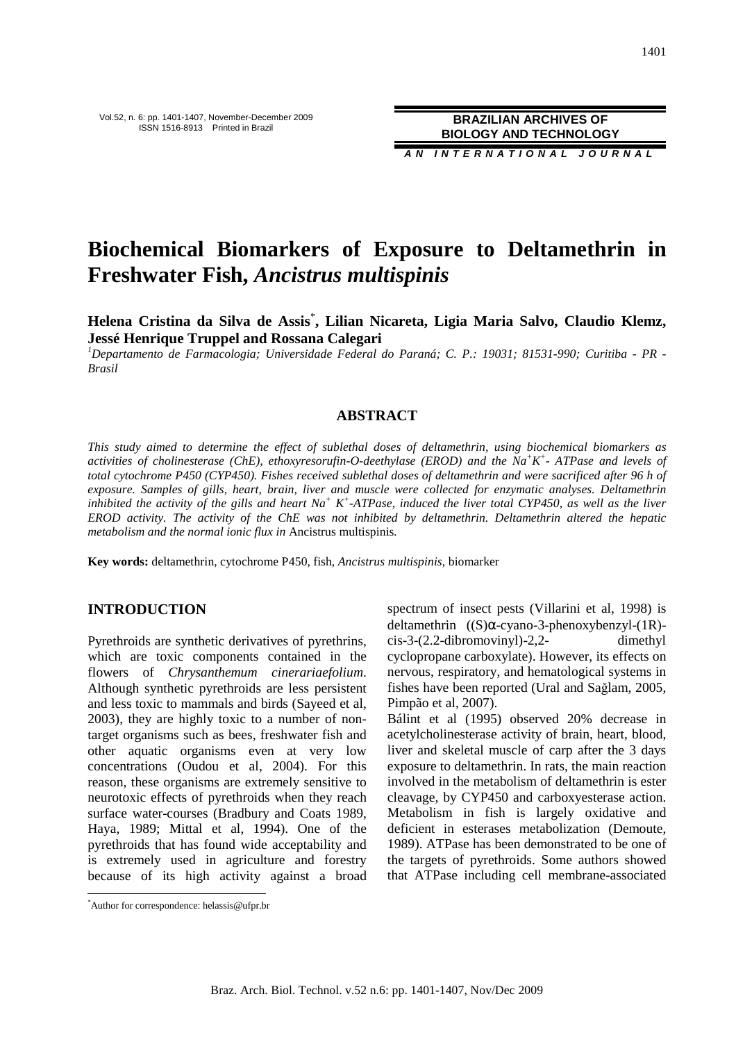**A N I N T E R N A T I O N A L J O U R N A L**

# **Biochemical Biomarkers of Exposure to Deltamethrin in Freshwater Fish,** *Ancistrus multispinis*

**Helena Cristina da Silva de Assis**\* **, Lilian Nicareta, Ligia Maria Salvo, Claudio Klemz, Jessé Henrique Truppel and Rossana Calegari** 

*<sup>1</sup>Departamento de Farmacologia; Universidade Federal do Paraná; C. P.: 19031; 81531-990; Curitiba - PR - Brasil* 

# **ABSTRACT**

*This study aimed to determine the effect of sublethal doses of deltamethrin, using biochemical biomarkers as activities of cholinesterase (ChE), ethoxyresorufin-O-deethylase (EROD) and the Na<sup>+</sup>K + - ATPase and levels of total cytochrome P450 (CYP450). Fishes received sublethal doses of deltamethrin and were sacrificed after 96 h of exposure. Samples of gills, heart, brain, liver and muscle were collected for enzymatic analyses. Deltamethrin inhibited the activity of the gills and heart Na<sup>+</sup> K<sup>+</sup>-ATPase, induced the liver total CYP450, as well as the liver EROD activity. The activity of the ChE was not inhibited by deltamethrin. Deltamethrin altered the hepatic metabolism and the normal ionic flux in* Ancistrus multispinis*.* 

**Key words:** deltamethrin, cytochrome P450, fish, *Ancistrus multispinis*, biomarker

# **INTRODUCTION**

Pyrethroids are synthetic derivatives of pyrethrins, which are toxic components contained in the flowers of *Chrysanthemum cinerariaefolium*. Although synthetic pyrethroids are less persistent and less toxic to mammals and birds (Sayeed et al, 2003), they are highly toxic to a number of nontarget organisms such as bees, freshwater fish and other aquatic organisms even at very low concentrations (Oudou et al, 2004). For this reason, these organisms are extremely sensitive to neurotoxic effects of pyrethroids when they reach surface water-courses (Bradbury and Coats 1989, Haya, 1989; Mittal et al, 1994). One of the pyrethroids that has found wide acceptability and is extremely used in agriculture and forestry because of its high activity against a broad

 $\overline{a}$ 

spectrum of insect pests (Villarini et al, 1998) is deltamethrin ((S)α-cyano-3-phenoxybenzyl-(1R) cis-3-(2.2-dibromovinyl)-2,2- dimethyl cyclopropane carboxylate). However, its effects on nervous, respiratory, and hematological systems in fishes have been reported (Ural and Sağlam, 2005, Pimpão et al, 2007).

Bálint et al (1995) observed 20% decrease in acetylcholinesterase activity of brain, heart, blood, liver and skeletal muscle of carp after the 3 days exposure to deltamethrin. In rats, the main reaction involved in the metabolism of deltamethrin is ester cleavage, by CYP450 and carboxyesterase action. Metabolism in fish is largely oxidative and deficient in esterases metabolization (Demoute, 1989). ATPase has been demonstrated to be one of the targets of pyrethroids. Some authors showed that ATPase including cell membrane-associated

<sup>\*</sup>Author for correspondence: helassis@ufpr.br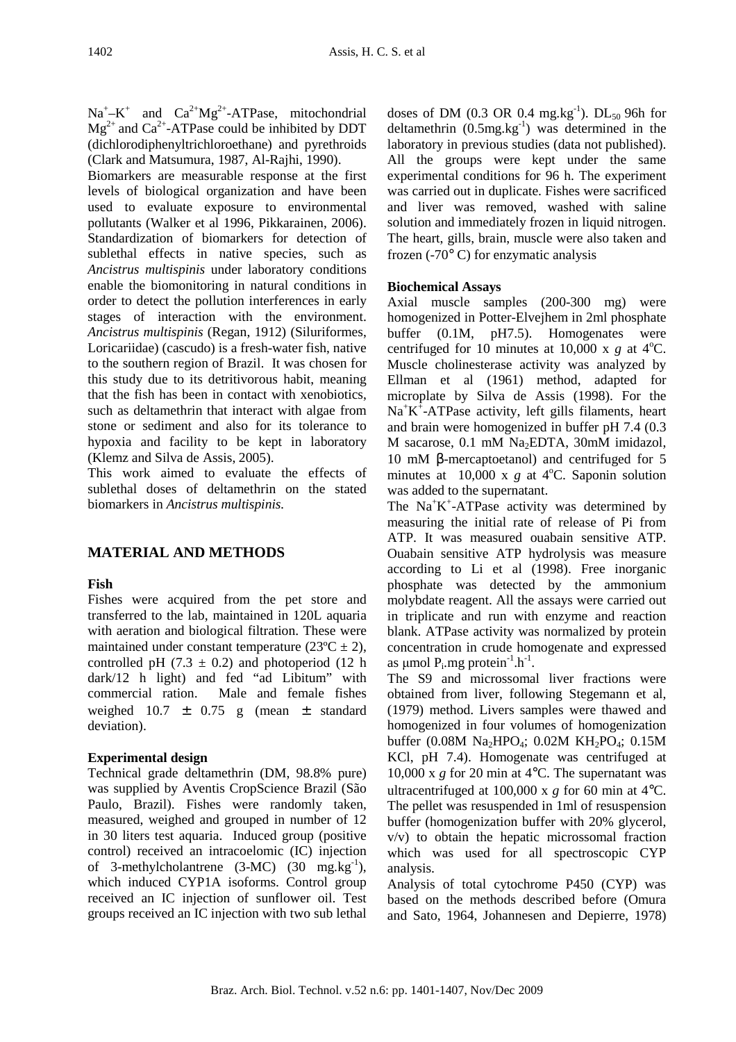$Na^+ - K^+$  and  $Ca^{2+}Mg^{2+}$ -ATPase, mitochondrial  $Mg^{2+}$  and Ca<sup>2+</sup>-ATPase could be inhibited by DDT (dichlorodiphenyltrichloroethane) and pyrethroids (Clark and Matsumura, 1987, Al-Rajhi, 1990).

Biomarkers are measurable response at the first levels of biological organization and have been used to evaluate exposure to environmental pollutants (Walker et al 1996, Pikkarainen, 2006). Standardization of biomarkers for detection of sublethal effects in native species, such as *Ancistrus multispinis* under laboratory conditions enable the biomonitoring in natural conditions in order to detect the pollution interferences in early stages of interaction with the environment. *Ancistrus multispinis* (Regan, 1912) (Siluriformes, Loricariidae) (cascudo) is a fresh-water fish, native to the southern region of Brazil. It was chosen for this study due to its detritivorous habit, meaning that the fish has been in contact with xenobiotics, such as deltamethrin that interact with algae from stone or sediment and also for its tolerance to hypoxia and facility to be kept in laboratory (Klemz and Silva de Assis, 2005).

This work aimed to evaluate the effects of sublethal doses of deltamethrin on the stated biomarkers in *Ancistrus multispinis.* 

# **MATERIAL AND METHODS**

# **Fish**

Fishes were acquired from the pet store and transferred to the lab, maintained in 120L aquaria with aeration and biological filtration. These were maintained under constant temperature  $(23^{\circ}C \pm 2)$ , controlled pH (7.3  $\pm$  0.2) and photoperiod (12 h dark/12 h light) and fed "ad Libitum" with commercial ration. Male and female fishes weighed  $10.7 \pm 0.75$  g (mean  $\pm$  standard deviation).

# **Experimental design**

Technical grade deltamethrin (DM, 98.8% pure) was supplied by Aventis CropScience Brazil (São Paulo, Brazil). Fishes were randomly taken, measured, weighed and grouped in number of 12 in 30 liters test aquaria. Induced group (positive control) received an intracoelomic (IC) injection of 3-methylcholantrene  $(3-MC)$   $(30 \text{ mg} \cdot \text{kg}^{-1})$ , which induced CYP1A isoforms. Control group received an IC injection of sunflower oil. Test groups received an IC injection with two sub lethal

doses of DM (0.3 OR 0.4 mg.kg<sup>-1</sup>). DL<sub>50</sub> 96h for deltamethrin  $(0.5mg \text{ kg}^{-1})$  was determined in the laboratory in previous studies (data not published). All the groups were kept under the same experimental conditions for 96 h. The experiment was carried out in duplicate. Fishes were sacrificed and liver was removed, washed with saline solution and immediately frozen in liquid nitrogen. The heart, gills, brain, muscle were also taken and frozen  $(-70^{\circ} \text{ C})$  for enzymatic analysis

# **Biochemical Assays**

Axial muscle samples (200-300 mg) were homogenized in Potter-Elvejhem in 2ml phosphate buffer (0.1M, pH7.5). Homogenates were centrifuged for 10 minutes at 10,000 x  $g$  at 4<sup>o</sup>C. Muscle cholinesterase activity was analyzed by Ellman et al (1961) method, adapted for microplate by Silva de Assis (1998). For the  $Na<sup>+</sup>K<sup>+</sup>-ATPase$  activity, left gills filaments, heart and brain were homogenized in buffer pH 7.4 (0.3 M sacarose, 0.1 mM Na<sub>2</sub>EDTA, 30mM imidazol, 10 mM β-mercaptoetanol) and centrifuged for 5 minutes at  $10,000 \times g$  at 4<sup>o</sup>C. Saponin solution was added to the supernatant.

The Na<sup>+</sup>K<sup>+</sup>-ATPase activity was determined by measuring the initial rate of release of Pi from ATP. It was measured ouabain sensitive ATP. Ouabain sensitive ATP hydrolysis was measure according to Li et al (1998). Free inorganic phosphate was detected by the ammonium molybdate reagent. All the assays were carried out in triplicate and run with enzyme and reaction blank. ATPase activity was normalized by protein concentration in crude homogenate and expressed as  $\mu$ mol  $P_i$ .mg protein<sup>-1</sup>.h<sup>-1</sup>.

The S9 and microssomal liver fractions were obtained from liver, following Stegemann et al, (1979) method. Livers samples were thawed and homogenized in four volumes of homogenization buffer (0.08M Na<sub>2</sub>HPO<sub>4</sub>; 0.02M KH<sub>2</sub>PO<sub>4</sub>; 0.15M KCl, pH 7.4). Homogenate was centrifuged at 10,000 x *g* for 20 min at 4°C. The supernatant was ultracentrifuged at 100,000 x *g* for 60 min at 4°C. The pellet was resuspended in 1ml of resuspension buffer (homogenization buffer with 20% glycerol, v/v) to obtain the hepatic microssomal fraction which was used for all spectroscopic CYP analysis.

Analysis of total cytochrome P450 (CYP) was based on the methods described before (Omura and Sato, 1964, Johannesen and Depierre, 1978)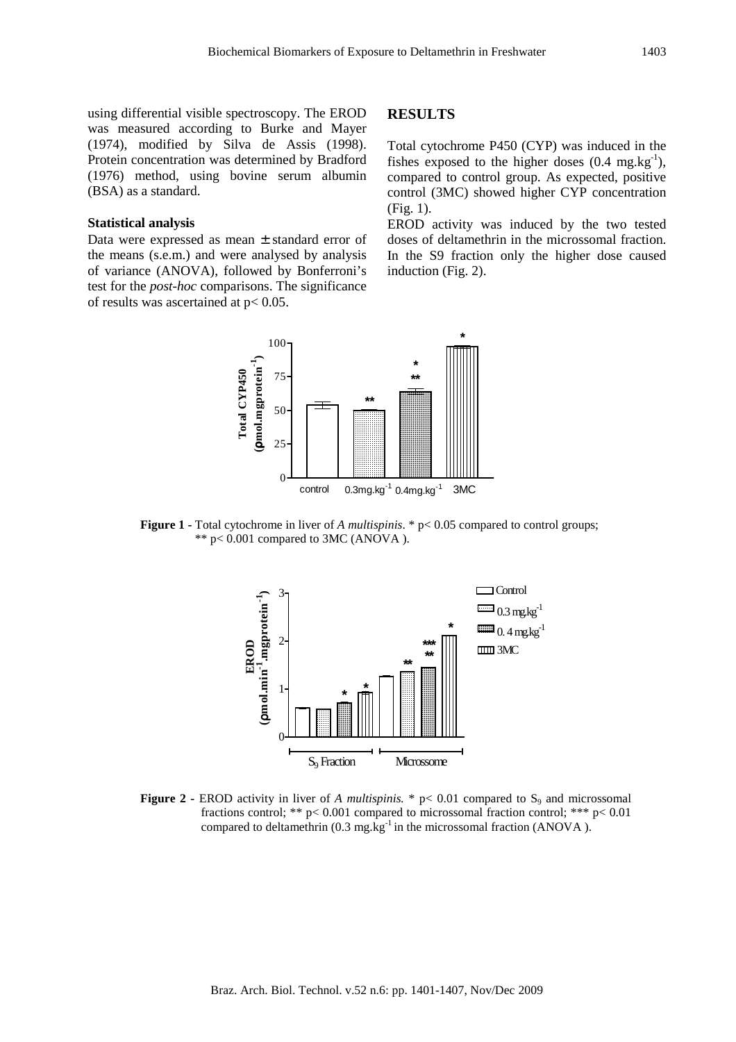using differential visible spectroscopy. The EROD was measured according to Burke and Mayer (1974), modified by Silva de Assis (1998). Protein concentration was determined by Bradford (1976) method, using bovine serum albumin (BSA) as a standard.

#### **Statistical analysis**

Data were expressed as mean ± standard error of the means (s.e.m.) and were analysed by analysis of variance (ANOVA), followed by Bonferroni's test for the *post-hoc* comparisons. The significance of results was ascertained at p< 0.05.

# **RESULTS**

Total cytochrome P450 (CYP) was induced in the fishes exposed to the higher doses  $(0.4 \text{ mg} \cdot \text{kg}^{-1})$ , compared to control group. As expected, positive control (3MC) showed higher CYP concentration (Fig. 1).

EROD activity was induced by the two tested doses of deltamethrin in the microssomal fraction. In the S9 fraction only the higher dose caused induction (Fig. 2).



**Figure 1 -** Total cytochrome in liver of *A multispinis*. \* p< 0.05 compared to control groups;  $**$  p< 0.001 compared to 3MC (ANOVA).



**Figure 2 -** EROD activity in liver of *A multispinis.* \*  $p < 0.01$  compared to  $S_9$  and microssomal fractions control; \*\*  $p < 0.001$  compared to microssomal fraction control; \*\*\*  $p < 0.01$ compared to deltamethrin  $(0.3 \text{ mg} \cdot \text{kg}^{-1})$  in the microssomal fraction (ANOVA).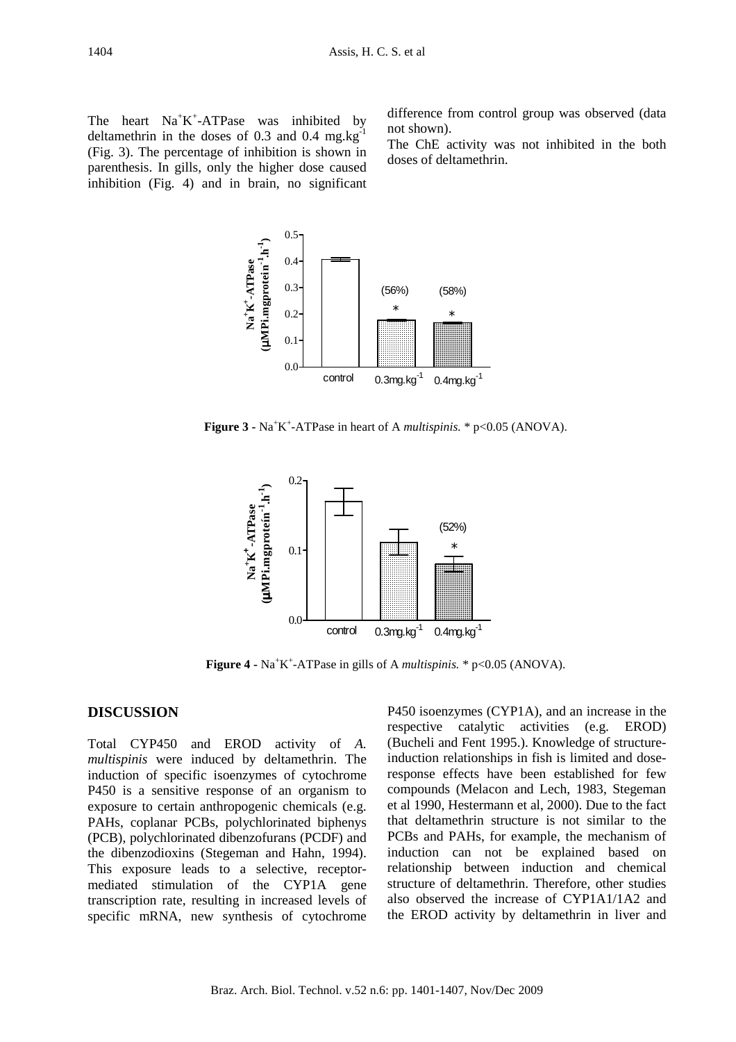The heart  $Na^+K^+$ -ATPase was inhibited by deltamethrin in the doses of  $0.3$  and  $0.4$  mg.kg<sup>-1</sup> (Fig. 3). The percentage of inhibition is shown in parenthesis. In gills, only the higher dose caused inhibition (Fig. 4) and in brain, no significant

difference from control group was observed (data not shown).

The ChE activity was not inhibited in the both doses of deltamethrin.



**Figure 3 -**  $Na^+K^+$ -ATPase in heart of A *multispinis*. \*  $p<0.05$  (ANOVA).



**Figure 4 -**  $Na^+K^+$ -ATPase in gills of A *multispinis*. \*  $p<0.05$  (ANOVA).

# **DISCUSSION**

Total CYP450 and EROD activity of *A. multispinis* were induced by deltamethrin. The induction of specific isoenzymes of cytochrome P450 is a sensitive response of an organism to exposure to certain anthropogenic chemicals (e.g. PAHs, coplanar PCBs, polychlorinated biphenys (PCB), polychlorinated dibenzofurans (PCDF) and the dibenzodioxins (Stegeman and Hahn, 1994). This exposure leads to a selective, receptormediated stimulation of the CYP1A gene transcription rate, resulting in increased levels of specific mRNA, new synthesis of cytochrome P450 isoenzymes (CYP1A), and an increase in the respective catalytic activities (e.g. EROD) (Bucheli and Fent 1995.). Knowledge of structureinduction relationships in fish is limited and doseresponse effects have been established for few compounds (Melacon and Lech, 1983, Stegeman et al 1990, Hestermann et al, 2000). Due to the fact that deltamethrin structure is not similar to the PCBs and PAHs, for example, the mechanism of induction can not be explained based on relationship between induction and chemical structure of deltamethrin. Therefore, other studies also observed the increase of CYP1A1/1A2 and the EROD activity by deltamethrin in liver and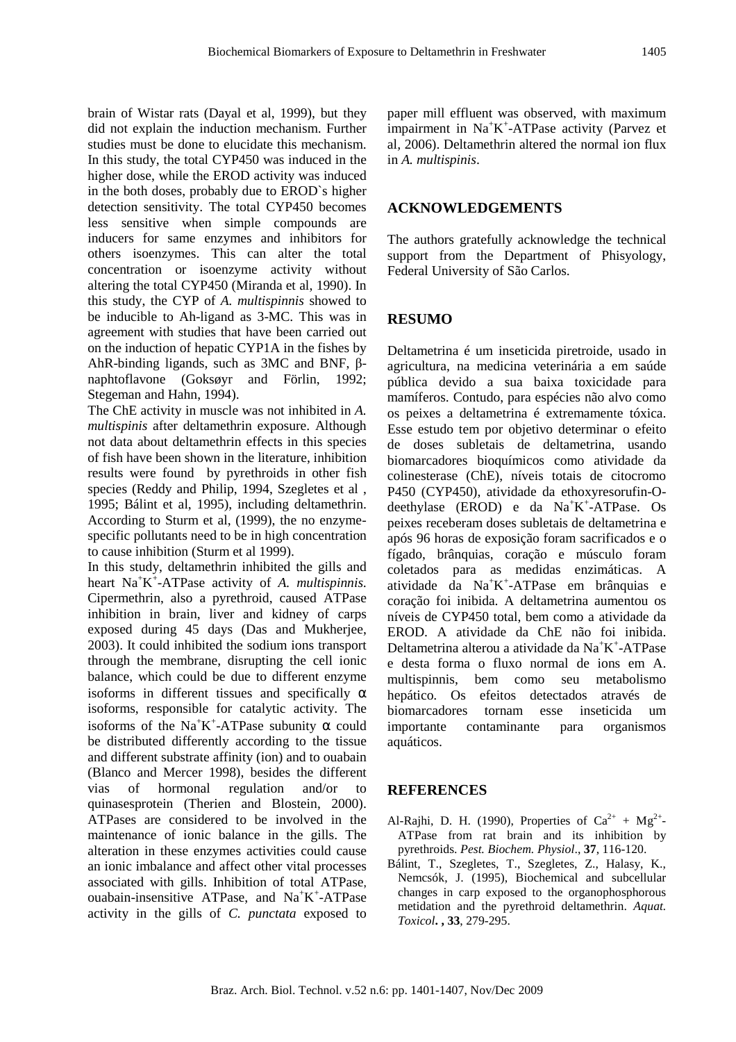brain of Wistar rats (Dayal et al, 1999), but they did not explain the induction mechanism. Further studies must be done to elucidate this mechanism. In this study, the total CYP450 was induced in the higher dose, while the EROD activity was induced in the both doses, probably due to EROD`s higher detection sensitivity. The total CYP450 becomes less sensitive when simple compounds are inducers for same enzymes and inhibitors for others isoenzymes. This can alter the total concentration or isoenzyme activity without altering the total CYP450 (Miranda et al, 1990). In this study, the CYP of *A. multispinnis* showed to be inducible to Ah-ligand as 3-MC. This was in agreement with studies that have been carried out on the induction of hepatic CYP1A in the fishes by AhR-binding ligands, such as 3MC and BNF, βnaphtoflavone (Goksøyr and Förlin, 1992; Stegeman and Hahn, 1994).

The ChE activity in muscle was not inhibited in *A. multispinis* after deltamethrin exposure. Although not data about deltamethrin effects in this species of fish have been shown in the literature, inhibition results were found by pyrethroids in other fish species (Reddy and Philip, 1994, Szegletes et al , 1995; Bálint et al, 1995), including deltamethrin. According to Sturm et al, (1999), the no enzymespecific pollutants need to be in high concentration to cause inhibition (Sturm et al 1999).

In this study, deltamethrin inhibited the gills and heart Na<sup>+</sup>K<sup>+</sup>-ATPase activity of *A. multispinnis.* Cipermethrin, also a pyrethroid, caused ATPase inhibition in brain, liver and kidney of carps exposed during 45 days (Das and Mukherjee, 2003). It could inhibited the sodium ions transport through the membrane, disrupting the cell ionic balance, which could be due to different enzyme isoforms in different tissues and specifically  $\alpha$ isoforms, responsible for catalytic activity. The isoforms of the Na<sup>+</sup>K<sup>+</sup>-ATPase subunity  $\alpha$  could be distributed differently according to the tissue and different substrate affinity (ion) and to ouabain (Blanco and Mercer 1998), besides the different vias of hormonal regulation and/or to quinasesprotein (Therien and Blostein, 2000). ATPases are considered to be involved in the maintenance of ionic balance in the gills. The alteration in these enzymes activities could cause an ionic imbalance and affect other vital processes associated with gills. Inhibition of total ATPase, ouabain-insensitive ATPase, and Na<sup>+</sup>K<sup>+</sup>-ATPase activity in the gills of *C. punctata* exposed to

paper mill effluent was observed, with maximum impairment in  $Na^{+}K^{+}$ -ATPase activity (Parvez et al*,* 2006). Deltamethrin altered the normal ion flux in *A. multispinis*.

# **ACKNOWLEDGEMENTS**

The authors gratefully acknowledge the technical support from the Department of Phisyology, Federal University of São Carlos.

# **RESUMO**

Deltametrina é um inseticida piretroide, usado in agricultura, na medicina veterinária a em saúde pública devido a sua baixa toxicidade para mamíferos. Contudo, para espécies não alvo como os peixes a deltametrina é extremamente tóxica. Esse estudo tem por objetivo determinar o efeito de doses subletais de deltametrina, usando biomarcadores bioquímicos como atividade da colinesterase (ChE), níveis totais de citocromo P450 (CYP450), atividade da ethoxyresorufin-Odeethylase (EROD) e da Na<sup>+</sup>K<sup>+</sup>-ATPase. Os peixes receberam doses subletais de deltametrina e após 96 horas de exposição foram sacrificados e o fígado, brânquias, coração e músculo foram coletados para as medidas enzimáticas. A atividade da Na<sup>+</sup>K + -ATPase em brânquias e coração foi inibida. A deltametrina aumentou os níveis de CYP450 total, bem como a atividade da EROD. A atividade da ChE não foi inibida. Deltametrina alterou a atividade da Na<sup>+</sup>K<sup>+</sup>-ATPase e desta forma o fluxo normal de ions em A. multispinnis, bem como seu metabolismo hepático. Os efeitos detectados através de biomarcadores tornam esse inseticida um importante contaminante para organismos aquáticos.

# **REFERENCES**

- Al-Rajhi, D. H. (1990), Properties of  $Ca^{2+} + Mg^{2+}$ ATPase from rat brain and its inhibition by pyrethroids. *Pest. Biochem. Physiol*., **37**, 116-120.
- Bálint, T., Szegletes, T., Szegletes, Z., Halasy, K., Nemcsók, J. (1995), Biochemical and subcellular changes in carp exposed to the organophosphorous metidation and the pyrethroid deltamethrin. *Aquat. Toxicol***. , 33**, 279-295.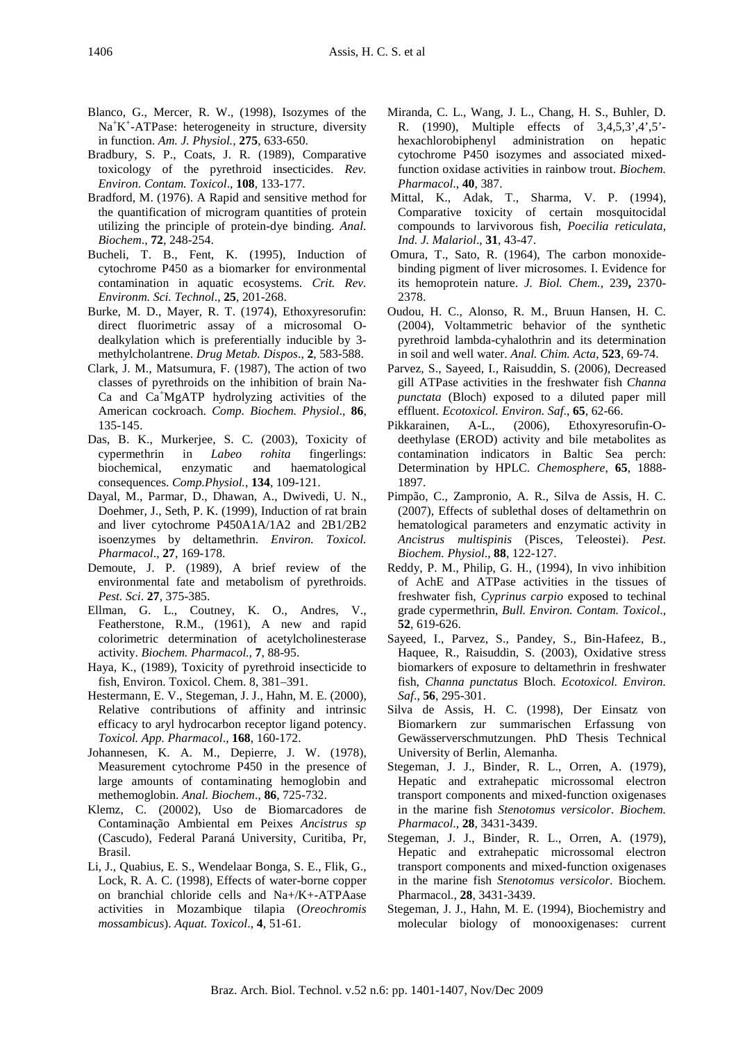- Blanco, G., Mercer, R. W., (1998), Isozymes of the Na<sup>+</sup>K<sup>+</sup>-ATPase: heterogeneity in structure, diversity in function. *Am. J. Physiol.,* **275**, 633-650.
- Bradbury, S. P., Coats, J. R. (1989), Comparative toxicology of the pyrethroid insecticides. *Rev. Environ. Contam. Toxicol*., **108**, 133-177.
- Bradford, M. (1976). A Rapid and sensitive method for the quantification of microgram quantities of protein utilizing the principle of protein-dye binding. *Anal. Biochem*., **72**, 248-254.
- Bucheli, T. B., Fent, K. (1995), Induction of cytochrome P450 as a biomarker for environmental contamination in aquatic ecosystems. *Crit. Rev. Environm. Sci. Technol*., **25**, 201-268.
- Burke, M. D., Mayer, R. T. (1974), Ethoxyresorufin: direct fluorimetric assay of a microsomal Odealkylation which is preferentially inducible by 3 methylcholantrene. *Drug Metab. Dispos*., **2**, 583-588.
- Clark, J. M., Matsumura, F. (1987), The action of two classes of pyrethroids on the inhibition of brain Na-Ca and Ca<sup>+</sup>MgATP hydrolyzing activities of the American cockroach. *Comp. Biochem. Physiol*., **86**, 135-145.
- Das, B. K., Murkerjee, S. C. (2003), Toxicity of cypermethrin in *Labeo rohita* fingerlings: biochemical, enzymatic and haematological consequences. *Comp.Physiol.*, **134**, 109-121.
- Dayal, M., Parmar, D., Dhawan, A., Dwivedi, U. N., Doehmer, J., Seth, P. K. (1999), Induction of rat brain and liver cytochrome P450A1A/1A2 and 2B1/2B2 isoenzymes by deltamethrin. *Environ. Toxicol. Pharmacol*., **27**, 169-178.
- Demoute, J. P. (1989), A brief review of the environmental fate and metabolism of pyrethroids. *Pest. Sci*. **27**, 375-385.
- Ellman, G. L., Coutney, K. O., Andres, V., Featherstone, R.M., (1961), A new and rapid colorimetric determination of acetylcholinesterase activity. *Biochem. Pharmacol.,* **7**, 88-95.
- Haya, K., (1989), Toxicity of pyrethroid insecticide to fish, Environ. Toxicol. Chem. 8, 381–391.
- Hestermann, E. V., Stegeman, J. J., Hahn, M. E. (2000), Relative contributions of affinity and intrinsic efficacy to aryl hydrocarbon receptor ligand potency. *Toxicol. App. Pharmacol*., **168**, 160-172.
- Johannesen, K. A. M., Depierre, J. W. (1978), Measurement cytochrome P450 in the presence of large amounts of contaminating hemoglobin and methemoglobin. *Anal. Biochem*., **86**, 725-732.
- Klemz, C. (20002), Uso de Biomarcadores de Contaminação Ambiental em Peixes *Ancistrus sp* (Cascudo), Federal Paraná University, Curitiba, Pr, Brasil.
- Li, J., Quabius, E. S., Wendelaar Bonga, S. E., Flik, G., Lock, R. A. C. (1998), Effects of water-borne copper on branchial chloride cells and Na+/K+-ATPAase activities in Mozambique tilapia (*Oreochromis mossambicus*). *Aquat. Toxicol*., **4**, 51-61.
- Miranda, C. L., Wang, J. L., Chang, H. S., Buhler, D. R. (1990), Multiple effects of 3,4,5,3',4',5' hexachlorobiphenyl administration on hepatic cytochrome P450 isozymes and associated mixedfunction oxidase activities in rainbow trout. *Biochem. Pharmacol*., **40**, 387.
- Mittal, K., Adak, T., Sharma, V. P. (1994), Comparative toxicity of certain mosquitocidal compounds to larvivorous fish, *Poecilia reticulata*, *Ind. J. Malariol*., **31**, 43-47.
- Omura, T., Sato, R. (1964), The carbon monoxidebinding pigment of liver microsomes. I. Evidence for its hemoprotein nature. *J. Biol. Chem.,* 239**,** 2370- 2378.
- Oudou, H. C., Alonso, R. M., Bruun Hansen, H. C. (2004), Voltammetric behavior of the synthetic pyrethroid lambda-cyhalothrin and its determination in soil and well water. *Anal. Chim. Acta*, **523**, 69-74.
- Parvez, S., Sayeed, I., Raisuddin, S. (2006), Decreased gill ATPase activities in the freshwater fish *Channa punctata* (Bloch) exposed to a diluted paper mill effluent. *Ecotoxicol. Environ. Saf*., **65**, 62-66.
- Pikkarainen, A-L., (2006), Ethoxyresorufin-Odeethylase (EROD) activity and bile metabolites as contamination indicators in Baltic Sea perch: Determination by HPLC. *Chemosphere*, **65**, 1888- 1897.
- Pimpão, C., Zampronio, A. R., Silva de Assis, H. C. (2007), Effects of sublethal doses of deltamethrin on hematological parameters and enzymatic activity in *Ancistrus multispinis* (Pisces, Teleostei). *Pest. Biochem. Physiol*., **88**, 122-127.
- Reddy, P. M., Philip, G. H., (1994), In vivo inhibition of AchE and ATPase activities in the tissues of freshwater fish, *Cyprinus carpio* exposed to techinal grade cypermethrin, *Bull. Environ. Contam. Toxicol*., **52**, 619-626.
- Sayeed, I., Parvez, S., Pandey, S., Bin-Hafeez, B., Haquee, R., Raisuddin, S. (2003), Oxidative stress biomarkers of exposure to deltamethrin in freshwater fish, *Channa punctatus* Bloch. *Ecotoxicol. Environ. Saf*., **56**, 295-301.
- Silva de Assis, H. C. (1998), Der Einsatz von Biomarkern zur summarischen Erfassung von Gewässerverschmutzungen. PhD Thesis Technical University of Berlin, Alemanha.
- Stegeman, J. J., Binder, R. L., Orren, A. (1979), Hepatic and extrahepatic microssomal electron transport components and mixed-function oxigenases in the marine fish *Stenotomus versicolor*. *Biochem. Pharmacol*., **28**, 3431-3439.
- Stegeman, J. J., Binder, R. L., Orren, A. (1979), Hepatic and extrahepatic microssomal electron transport components and mixed-function oxigenases in the marine fish *Stenotomus versicolor*. Biochem. Pharmacol., **28**, 3431-3439.
- Stegeman, J. J., Hahn, M. E. (1994), Biochemistry and molecular biology of monooxigenases: current